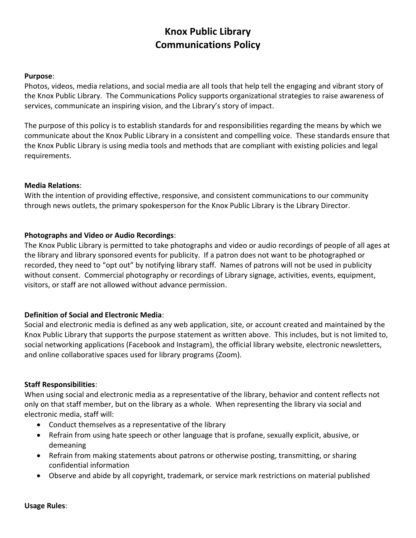# **Knox Public Library Communications Policy**

### **Purpose**:

Photos, videos, media relations, and social media are all tools that help tell the engaging and vibrant story of the Knox Public Library. The Communications Policy supports organizational strategies to raise awareness of services, communicate an inspiring vision, and the Library's story of impact.

The purpose of this policy is to establish standards for and responsibilities regarding the means by which we communicate about the Knox Public Library in a consistent and compelling voice. These standards ensure that the Knox Public Library is using media tools and methods that are compliant with existing policies and legal requirements.

#### **Media Relations**:

With the intention of providing effective, responsive, and consistent communications to our community through news outlets, the primary spokesperson for the Knox Public Library is the Library Director.

### **Photographs and Video or Audio Recordings**:

The Knox Public Library is permitted to take photographs and video or audio recordings of people of all ages at the library and library sponsored events for publicity. If a patron does not want to be photographed or recorded, they need to "opt out" by notifying library staff. Names of patrons will not be used in publicity without consent. Commercial photography or recordings of Library signage, activities, events, equipment, visitors, or staff are not allowed without advance permission.

### **Definition of Social and Electronic Media**:

Social and electronic media is defined as any web application, site, or account created and maintained by the Knox Public Library that supports the purpose statement as written above. This includes, but is not limited to, social networking applications (Facebook and Instagram), the official library website, electronic newsletters, and online collaborative spaces used for library programs (Zoom).

### **Staff Responsibilities**:

When using social and electronic media as a representative of the library, behavior and content reflects not only on that staff member, but on the library as a whole. When representing the library via social and electronic media, staff will:

- Conduct themselves as a representative of the library
- Refrain from using hate speech or other language that is profane, sexually explicit, abusive, or demeaning
- Refrain from making statements about patrons or otherwise posting, transmitting, or sharing confidential information
- Observe and abide by all copyright, trademark, or service mark restrictions on material published

**Usage Rules**: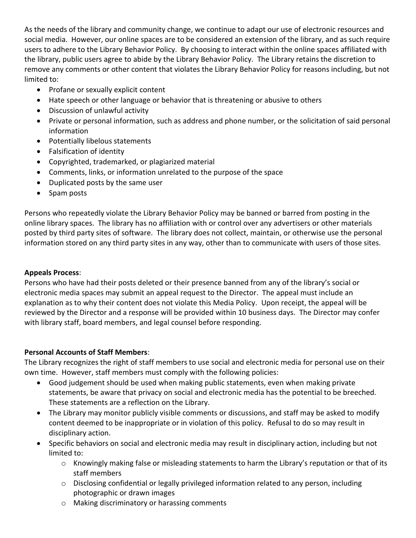As the needs of the library and community change, we continue to adapt our use of electronic resources and social media. However, our online spaces are to be considered an extension of the library, and as such require users to adhere to the Library Behavior Policy. By choosing to interact within the online spaces affiliated with the library, public users agree to abide by the Library Behavior Policy. The Library retains the discretion to remove any comments or other content that violates the Library Behavior Policy for reasons including, but not limited to:

- Profane or sexually explicit content
- Hate speech or other language or behavior that is threatening or abusive to others
- Discussion of unlawful activity
- Private or personal information, such as address and phone number, or the solicitation of said personal information
- Potentially libelous statements
- Falsification of identity
- Copyrighted, trademarked, or plagiarized material
- Comments, links, or information unrelated to the purpose of the space
- Duplicated posts by the same user
- Spam posts

Persons who repeatedly violate the Library Behavior Policy may be banned or barred from posting in the online library spaces. The library has no affiliation with or control over any advertisers or other materials posted by third party sites of software. The library does not collect, maintain, or otherwise use the personal information stored on any third party sites in any way, other than to communicate with users of those sites.

## **Appeals Process**:

Persons who have had their posts deleted or their presence banned from any of the library's social or electronic media spaces may submit an appeal request to the Director. The appeal must include an explanation as to why their content does not violate this Media Policy. Upon receipt, the appeal will be reviewed by the Director and a response will be provided within 10 business days. The Director may confer with library staff, board members, and legal counsel before responding.

## **Personal Accounts of Staff Members**:

The Library recognizes the right of staff members to use social and electronic media for personal use on their own time. However, staff members must comply with the following policies:

- Good judgement should be used when making public statements, even when making private statements, be aware that privacy on social and electronic media has the potential to be breeched. These statements are a reflection on the Library.
- The Library may monitor publicly visible comments or discussions, and staff may be asked to modify content deemed to be inappropriate or in violation of this policy. Refusal to do so may result in disciplinary action.
- Specific behaviors on social and electronic media may result in disciplinary action, including but not limited to:
	- o Knowingly making false or misleading statements to harm the Library's reputation or that of its staff members
	- o Disclosing confidential or legally privileged information related to any person, including photographic or drawn images
	- o Making discriminatory or harassing comments